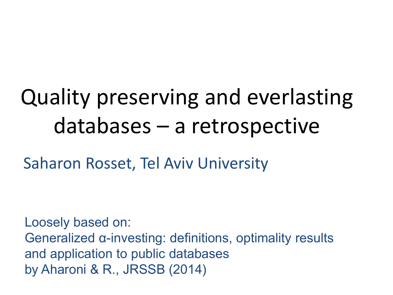# Quality preserving and everlasting databases – a retrospective

Saharon Rosset, Tel Aviv University

Loosely based on: Generalized α-investing: definitions, optimality results and application to public databases by Aharoni & R., JRSSB (2014)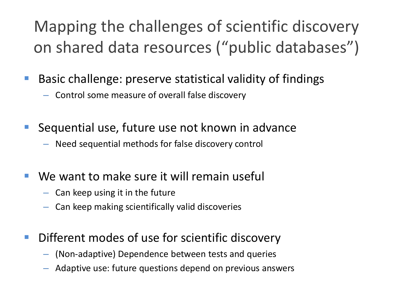#### Mapping the challenges of scientific discovery on shared data resources ("public databases")

- Basic challenge: preserve statistical validity of findings
	- Control some measure of overall false discovery
- **Sequential use, future use not known in advance** 
	- Need sequential methods for false discovery control
- We want to make sure it will remain useful
	- Can keep using it in the future
	- Can keep making scientifically valid discoveries
- Different modes of use for scientific discovery
	- (Non-adaptive) Dependence between tests and queries
	- Adaptive use: future questions depend on previous answers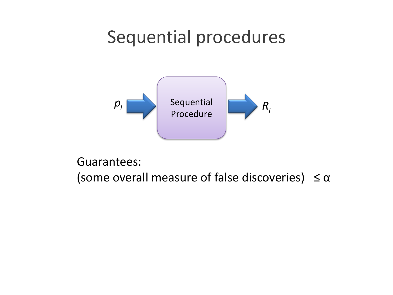#### Sequential procedures



Guarantees:

(some overall measure of false discoveries)  $\leq \alpha$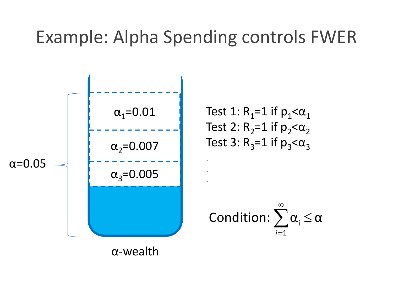#### Example: Alpha Spending controls FWER

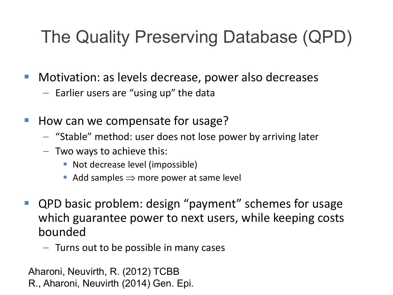## The Quality Preserving Database (QPD)

- **Motivation: as levels decrease, power also decreases** 
	- Earlier users are "using up" the data
- How can we compensate for usage?
	- "Stable" method: user does not lose power by arriving later
	- Two ways to achieve this:
		- Not decrease level (impossible)
		- Add samples  $\Rightarrow$  more power at same level
- QPD basic problem: design "payment" schemes for usage which guarantee power to next users, while keeping costs bounded
	- Turns out to be possible in many cases

Aharoni, Neuvirth, R. (2012) TCBB R., Aharoni, Neuvirth (2014) Gen. Epi.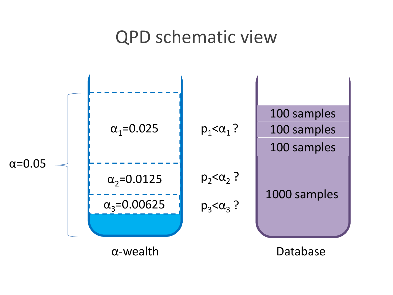#### QPD schematic view

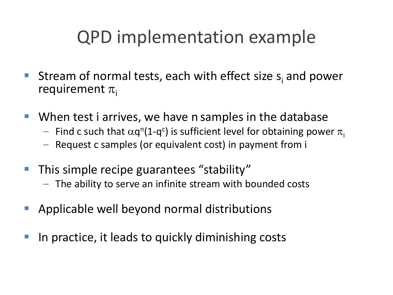#### QPD implementation example

- Stream of normal tests, each with effect size  $s_i$  and power requirement  $\pi_i$
- When test i arrives, we have n samples in the database
	- Find c such that  $\alpha$ q<sup>n</sup>(1-q<sup>c</sup>) is sufficient level for obtaining power  $\pi_{\mathsf{i}}$
	- Request c samples (or equivalent cost) in payment from i
- This simple recipe guarantees "stability"
	- The ability to serve an infinite stream with bounded costs
- Applicable well beyond normal distributions
- In practice, it leads to quickly diminishing costs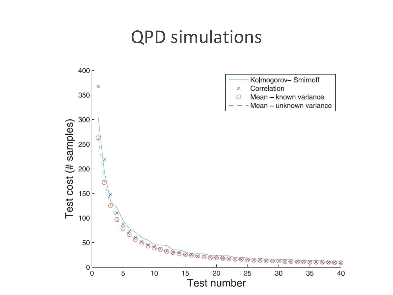#### QPD simulations

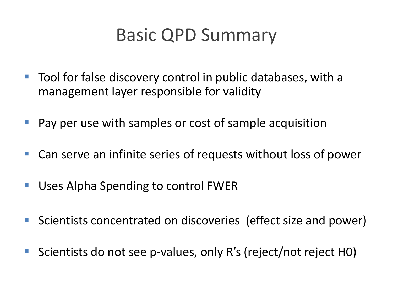#### Basic QPD Summary

- Tool for false discovery control in public databases, with a management layer responsible for validity
- **Pay per use with samples or cost of sample acquisition**
- Can serve an infinite series of requests without loss of power
- **Uses Alpha Spending to control FWER**
- Scientists concentrated on discoveries (effect size and power)
- Scientists do not see p-values, only R's (reject/not reject H0)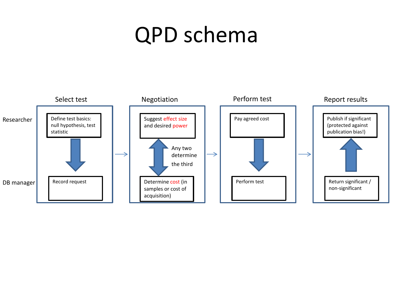## QPD schema

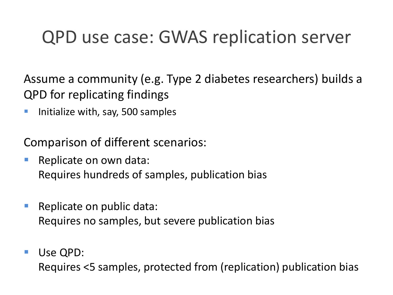#### QPD use case: GWAS replication server

Assume a community (e.g. Type 2 diabetes researchers) builds a QPD for replicating findings

**Initialize with, say, 500 samples** 

Comparison of different scenarios:

- **Replicate on own data:** Requires hundreds of samples, publication bias
- **Replicate on public data:** Requires no samples, but severe publication bias
- **Use QPD:**

Requires <5 samples, protected from (replication) publication bias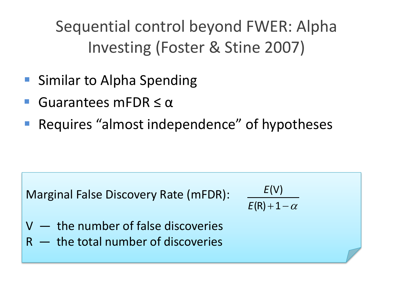Sequential control beyond FWER: Alpha Investing (Foster & Stine 2007)

- Similar to Alpha Spending
- Guarantees mFDR ≤ α
- Requires "almost independence" of hypotheses

Marginal False Discovery Rate (mFDR):

 $E(R) + 1 - \alpha$ (V) *E*

- V the number of false discoveries
- $R -$  the total number of discoveries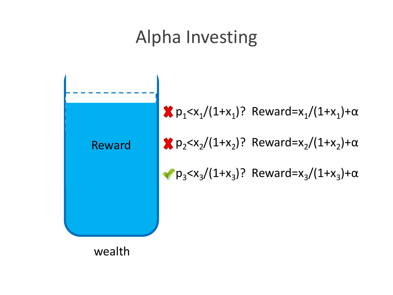#### Alpha Investing



 $\mathbf{x}_{p_1} < x_1/(1+x_1)$ ? Reward=x<sub>1</sub>/(1+x<sub>1</sub>)+α  $\binom{2}{1}$  p<sub>2</sub> <x<sub>2</sub>/(1+x<sub>2</sub>)? Reward=x<sub>2</sub>/(1+x<sub>2</sub>)+α  $\sqrt{p_3} < x_3/(1+x_3)$ ? Reward= $x_3/(1+x_3)+\alpha$ 

wealth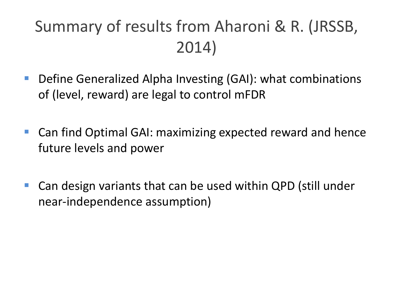#### Summary of results from Aharoni & R. (JRSSB, 2014)

- Define Generalized Alpha Investing (GAI): what combinations of (level, reward) are legal to control mFDR
- Can find Optimal GAI: maximizing expected reward and hence future levels and power
- Can design variants that can be used within QPD (still under near-independence assumption)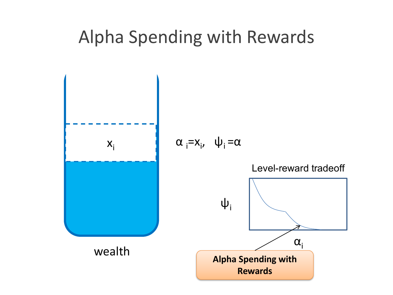#### Alpha Spending with Rewards

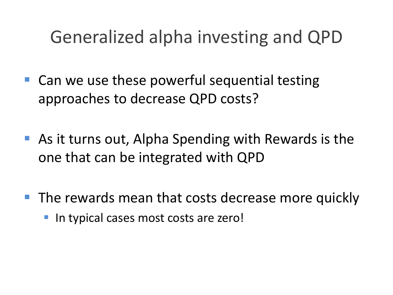#### Generalized alpha investing and QPD

- Can we use these powerful sequential testing approaches to decrease QPD costs?
- As it turns out, Alpha Spending with Rewards is the one that can be integrated with QPD
- **The rewards mean that costs decrease more quickly** 
	- **If the typical cases most costs are zero!**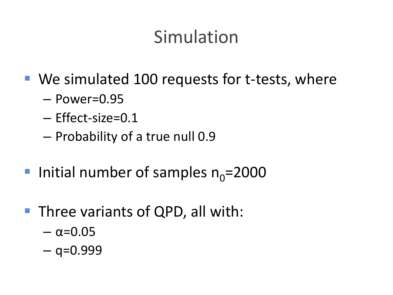#### Simulation

- We simulated 100 requests for t-tests, where
	- Power=0.95
	- Effect-size=0.1
	- Probability of a true null 0.9
- Initial number of samples  $n_0$ =2000
- **Three variants of QPD, all with:** 
	- $\alpha = 0.05$
	- $-$  q=0.999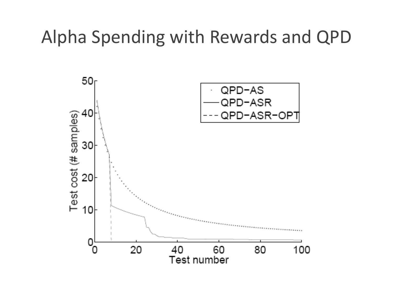#### Alpha Spending with Rewards and QPD

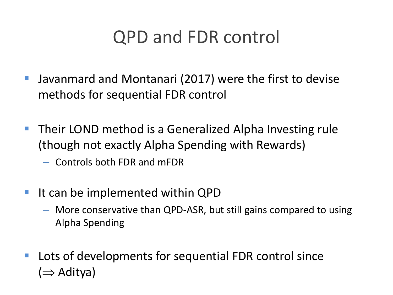#### QPD and FDR control

- Javanmard and Montanari (2017) were the first to devise methods for sequential FDR control
- Their LOND method is a Generalized Alpha Investing rule (though not exactly Alpha Spending with Rewards)
	- Controls both FDR and mFDR
- It can be implemented within QPD
	- More conservative than QPD-ASR, but still gains compared to using Alpha Spending
- **Lots of developments for sequential FDR control since** (⇒ Aditya)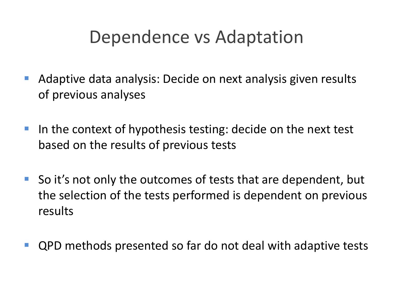#### Dependence vs Adaptation

- Adaptive data analysis: Decide on next analysis given results of previous analyses
- In the context of hypothesis testing: decide on the next test based on the results of previous tests
- So it's not only the outcomes of tests that are dependent, but the selection of the tests performed is dependent on previous results
- QPD methods presented so far do not deal with adaptive tests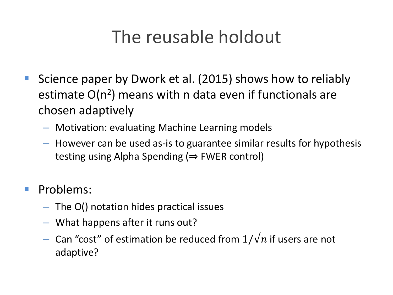### The reusable holdout

- **Siance paper by Dwork et al. (2015) shows how to reliably** estimate  $O(n^2)$  means with n data even if functionals are chosen adaptively
	- Motivation: evaluating Machine Learning models
	- However can be used as-is to guarantee similar results for hypothesis testing using Alpha Spending ( $\Rightarrow$  FWER control)
- **Problems:** 
	- The O() notation hides practical issues
	- What happens after it runs out?
	- Can "cost" of estimation be reduced from  $1/\sqrt{n}$  if users are not adaptive?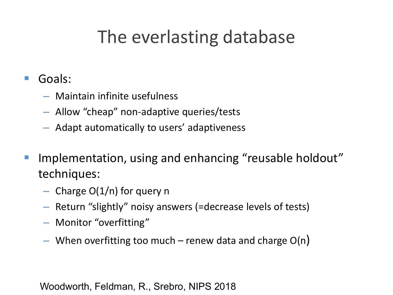#### The everlasting database

#### ■ Goals:

- Maintain infinite usefulness
- Allow "cheap" non-adaptive queries/tests
- Adapt automatically to users' adaptiveness
- **IMPLE** Implementation, using and enhancing "reusable holdout" techniques:
	- $-$  Charge O(1/n) for query n
	- Return "slightly" noisy answers (=decrease levels of tests)
	- Monitor "overfitting"
	- When overfitting too much renew data and charge  $O(n)$

Woodworth, Feldman, R., Srebro, NIPS 2018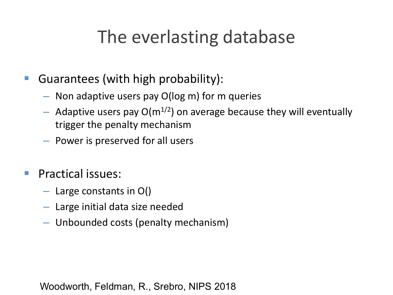#### The everlasting database

- **Guarantees (with high probability):** 
	- Non adaptive users pay O(log m) for m queries
	- Adaptive users pay  $O(m^{1/2})$  on average because they will eventually trigger the penalty mechanism
	- Power is preserved for all users
- **Practical issues:** 
	- $-$  Large constants in O()
	- Large initial data size needed
	- Unbounded costs (penalty mechanism)

Woodworth, Feldman, R., Srebro, NIPS 2018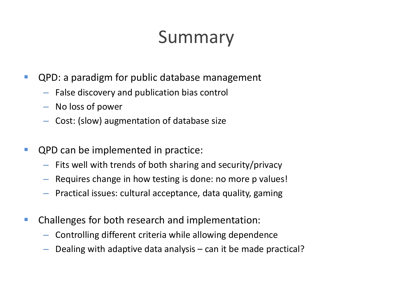## Summary

- **QPD:** a paradigm for public database management
	- False discovery and publication bias control
	- No loss of power
	- Cost: (slow) augmentation of database size
- **QPD can be implemented in practice:** 
	- Fits well with trends of both sharing and security/privacy
	- Requires change in how testing is done: no more p values!
	- Practical issues: cultural acceptance, data quality, gaming
- **EXTE:** Challenges for both research and implementation:
	- Controlling different criteria while allowing dependence
	- Dealing with adaptive data analysis can it be made practical?